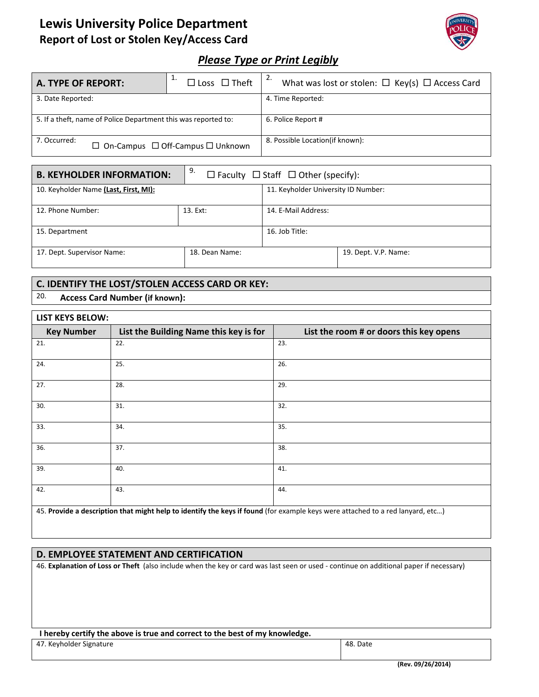# **Lewis University Police Department Report of Lost or Stolen Key/Access Card**



## *Please Type or Print Legibly*

| A. TYPE OF REPORT:                                                | ᅩ.<br>$\Box$ Loss $\Box$ Theft | 2.<br>What was lost or stolen: $\Box$ Key(s) $\Box$ Access Card |  |
|-------------------------------------------------------------------|--------------------------------|-----------------------------------------------------------------|--|
| 3. Date Reported:                                                 |                                | 4. Time Reported:                                               |  |
| 5. If a theft, name of Police Department this was reported to:    |                                | 6. Police Report #                                              |  |
| 7. Occurred:<br>$\Box$ On-Campus $\Box$ Off-Campus $\Box$ Unknown |                                | 8. Possible Location(if known):                                 |  |

| <b>B. KEYHOLDER INFORMATION:</b>      | 9.<br>$\Box$ Faculty $\Box$ Staff $\Box$ Other (specify): |                                     |                      |  |
|---------------------------------------|-----------------------------------------------------------|-------------------------------------|----------------------|--|
| 10. Keyholder Name (Last, First, MI): |                                                           | 11. Keyholder University ID Number: |                      |  |
| 12. Phone Number:                     | 13. Ext:                                                  | 14. E-Mail Address:                 |                      |  |
| 15. Department                        |                                                           | 16. Job Title:                      |                      |  |
| 17. Dept. Supervisor Name:            | 18. Dean Name:                                            |                                     | 19. Dept. V.P. Name: |  |

### **C. IDENTIFY THE LOST/STOLEN ACCESS CARD OR KEY:**

### 20. **Access Card Number (if known):**

Г

| <b>LIST KEYS BELOW:</b>                                                                                                                                                                                                                               |                                        |                                         |  |  |
|-------------------------------------------------------------------------------------------------------------------------------------------------------------------------------------------------------------------------------------------------------|----------------------------------------|-----------------------------------------|--|--|
| <b>Key Number</b>                                                                                                                                                                                                                                     | List the Building Name this key is for | List the room # or doors this key opens |  |  |
| 21.                                                                                                                                                                                                                                                   | 22.                                    | 23.                                     |  |  |
| 24.                                                                                                                                                                                                                                                   | 25.                                    | 26.                                     |  |  |
| 27.                                                                                                                                                                                                                                                   | 28.                                    | 29.                                     |  |  |
| 30.                                                                                                                                                                                                                                                   | 31.                                    | 32.                                     |  |  |
| 33.                                                                                                                                                                                                                                                   | 34.                                    | 35.                                     |  |  |
| 36.                                                                                                                                                                                                                                                   | 37.                                    | 38.                                     |  |  |
| 39.                                                                                                                                                                                                                                                   | 40.                                    | 41.                                     |  |  |
| 42.                                                                                                                                                                                                                                                   | 43.                                    | 44.                                     |  |  |
| $\mathbf{A}$ $\mathbf{F}$ . Note that the set of the legislation of the set of $\mathbf{F}$ , and $\mathbf{F}$ $\mathbf{F}$ , and $\mathbf{F}$ is a set of the set of the set of the set of the set of the set of the set of the set of the set of th |                                        |                                         |  |  |

45. **Provide a description that might help to identify the keys if found** (for example keys were attached to a red lanyard, etc…)

#### **D. EMPLOYEE STATEMENT AND CERTIFICATION**

46. **Explanation of Loss or Theft** (also include when the key or card was last seen or used ‐ continue on additional paper if necessary)

#### **I hereby certify the above is true and correct to the best of my knowledge.**

47. Keyholder Signature **1996** and 1997. Keyholder Signature **1997** and 1997. Keyholder Signature **48.** Date